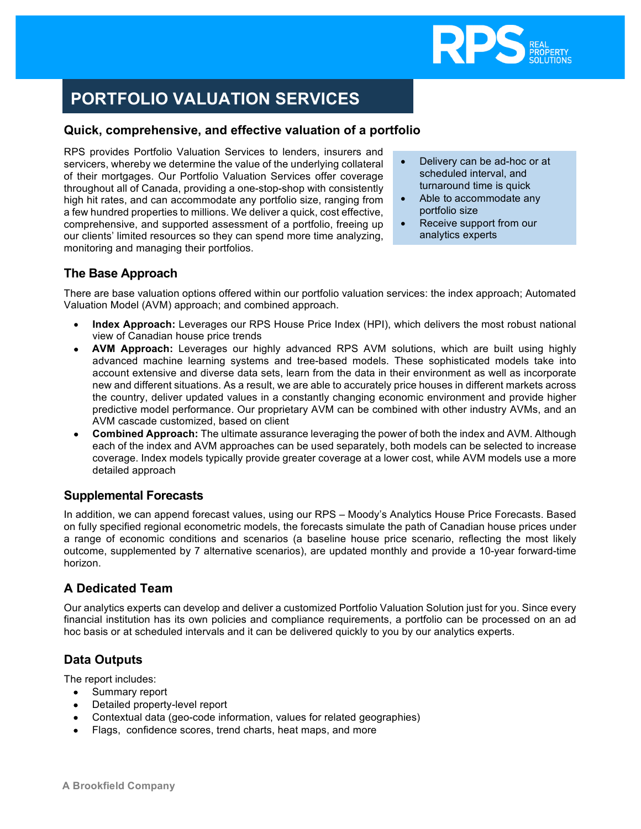

# **PORTFOLIO VALUATION SERVICES**

#### **Service Service Quick, comprehensive, and effective valuation of a portfolio**

RPS provides Portfolio Valuation Services to lenders, insurers and servicers, whereby we determine the value of the underlying collateral of their mortgages. Our Portfolio Valuation Services offer coverage throughout all of Canada, providing a one-stop-shop with consistently high hit rates, and can accommodate any portfolio size, ranging from a few hundred properties to millions. We deliver a quick, cost effective, comprehensive, and supported assessment of a portfolio, freeing up our clients' limited resources so they can spend more time analyzing, monitoring and managing their portfolios.

- Delivery can be ad-hoc or at scheduled interval, and turnaround time is quick
- Able to accommodate any portfolio size
- Receive support from our analytics experts

## **The Base Approach**

There are base valuation options offered within our portfolio valuation services: the index approach; Automated Valuation Model (AVM) approach; and combined approach.

- **Index Approach:** Leverages our RPS House Price Index (HPI), which delivers the most robust national view of Canadian house price trends
- **AVM Approach:** Leverages our highly advanced RPS AVM solutions, which are built using highly advanced machine learning systems and tree-based models. These sophisticated models take into account extensive and diverse data sets, learn from the data in their environment as well as incorporate new and different situations. As a result, we are able to accurately price houses in different markets across the country, deliver updated values in a constantly changing economic environment and provide higher predictive model performance. Our proprietary AVM can be combined with other industry AVMs, and an AVM cascade customized, based on client
- **Combined Approach:** The ultimate assurance leveraging the power of both the index and AVM. Although each of the index and AVM approaches can be used separately, both models can be selected to increase coverage. Index models typically provide greater coverage at a lower cost, while AVM models use a more detailed approach

# **Supplemental Forecasts**

In addition, we can append forecast values, using our RPS – Moody's Analytics House Price Forecasts. Based on fully specified regional econometric models, the forecasts simulate the path of Canadian house prices under a range of economic conditions and scenarios (a baseline house price scenario, reflecting the most likely outcome, supplemented by 7 alternative scenarios), are updated monthly and provide a 10-year forward-time horizon.

### **A Dedicated Team**

Our analytics experts can develop and deliver a customized Portfolio Valuation Solution just for you. Since every financial institution has its own policies and compliance requirements, a portfolio can be processed on an ad hoc basis or at scheduled intervals and it can be delivered quickly to you by our analytics experts.

# **Data Outputs**

The report includes:

- Summary report
- Detailed property-level report
- Contextual data (geo-code information, values for related geographies)
- Flags, confidence scores, trend charts, heat maps, and more